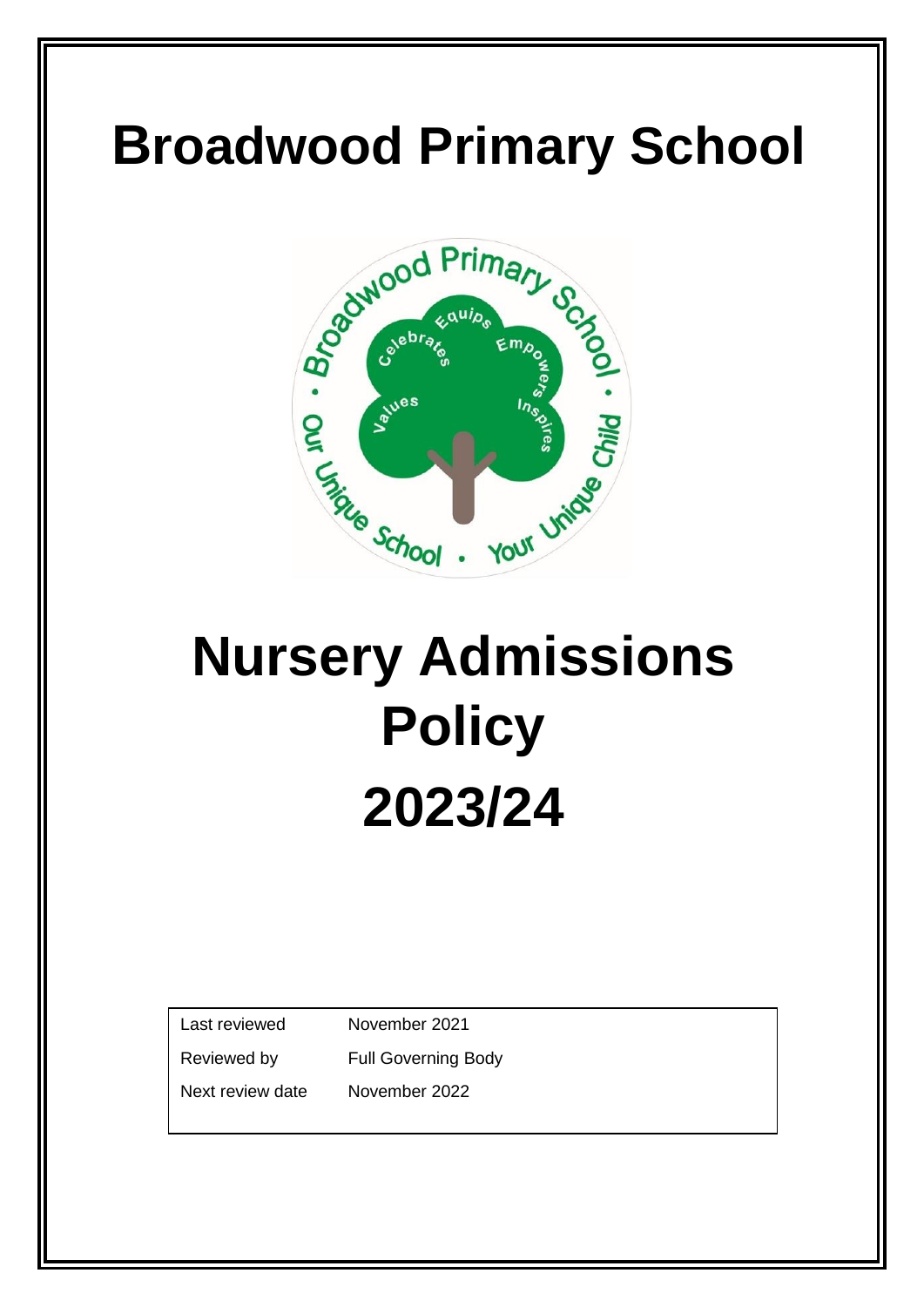

# **Nursery Admissions Policy 2023/24**

Last reviewed November 2021

Reviewed by Full Governing Body

Next review date November 2022